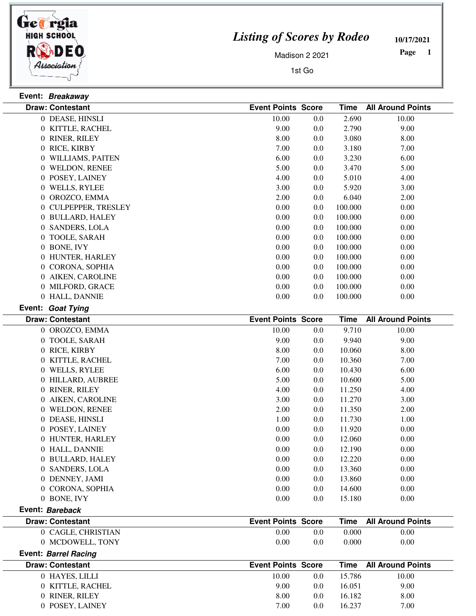

 $\frac{1}{2}$ 

 $\overline{\phantom{a}}$ 

## *Listing of Scores by Rodeo*

**10/17/2021**

Madison 2 2021

1st Go

 **Page** 

|                             | Event: Breakaway        |                           |         |             |                          |  |  |
|-----------------------------|-------------------------|---------------------------|---------|-------------|--------------------------|--|--|
|                             | <b>Draw: Contestant</b> | <b>Event Points Score</b> |         | <b>Time</b> | <b>All Around Points</b> |  |  |
|                             | 0 DEASE, HINSLI         | 10.00                     | 0.0     | 2.690       | 10.00                    |  |  |
|                             | 0 KITTLE, RACHEL        | 9.00                      | 0.0     | 2.790       | 9.00                     |  |  |
|                             | 0 RINER, RILEY          | 8.00                      | 0.0     | 3.080       | 8.00                     |  |  |
|                             | 0 RICE, KIRBY           | 7.00                      | 0.0     | 3.180       | 7.00                     |  |  |
|                             | 0 WILLIAMS, PAITEN      | 6.00                      | 0.0     | 3.230       | 6.00                     |  |  |
|                             | 0 WELDON, RENEE         | 5.00                      | 0.0     | 3.470       | 5.00                     |  |  |
|                             | 0 POSEY, LAINEY         | 4.00                      | 0.0     | 5.010       | 4.00                     |  |  |
|                             | 0 WELLS, RYLEE          | 3.00                      | 0.0     | 5.920       | 3.00                     |  |  |
|                             | 0 OROZCO, EMMA          | 2.00                      | 0.0     | 6.040       | 2.00                     |  |  |
|                             | 0 CULPEPPER, TRESLEY    | 0.00                      | 0.0     | 100.000     | 0.00                     |  |  |
|                             | 0 BULLARD, HALEY        | $0.00\,$                  | 0.0     | 100.000     | 0.00                     |  |  |
|                             | 0 SANDERS, LOLA         | 0.00                      | 0.0     | 100.000     | 0.00                     |  |  |
|                             | 0 TOOLE, SARAH          | 0.00                      | 0.0     | 100.000     | 0.00                     |  |  |
|                             | 0 BONE, IVY             | 0.00                      | 0.0     | 100.000     | 0.00                     |  |  |
|                             | 0 HUNTER, HARLEY        | 0.00                      | 0.0     | 100.000     | 0.00                     |  |  |
|                             | 0 CORONA, SOPHIA        | 0.00                      | 0.0     | 100.000     | 0.00                     |  |  |
|                             | 0 AIKEN, CAROLINE       | 0.00                      | 0.0     | 100.000     | 0.00                     |  |  |
|                             | 0 MILFORD, GRACE        | $0.00\,$                  | 0.0     | 100.000     | 0.00                     |  |  |
|                             | 0 HALL, DANNIE          | 0.00                      | 0.0     | 100.000     | 0.00                     |  |  |
|                             | Event: Goat Tying       |                           |         |             |                          |  |  |
|                             | <b>Draw: Contestant</b> | <b>Event Points Score</b> |         | <b>Time</b> | <b>All Around Points</b> |  |  |
|                             | 0 OROZCO, EMMA          | 10.00                     | 0.0     | 9.710       | 10.00                    |  |  |
|                             | 0 TOOLE, SARAH          | 9.00                      | 0.0     | 9.940       | 9.00                     |  |  |
|                             | 0 RICE, KIRBY           | 8.00                      | 0.0     | 10.060      | 8.00                     |  |  |
|                             | 0 KITTLE, RACHEL        | 7.00                      | 0.0     | 10.360      | 7.00                     |  |  |
|                             | 0 WELLS, RYLEE          | 6.00                      | 0.0     | 10.430      | 6.00                     |  |  |
|                             | 0 HILLARD, AUBREE       | 5.00                      | 0.0     | 10.600      | 5.00                     |  |  |
|                             | 0 RINER, RILEY          | 4.00                      | 0.0     | 11.250      | 4.00                     |  |  |
|                             | 0 AIKEN, CAROLINE       | 3.00                      | 0.0     | 11.270      | 3.00                     |  |  |
|                             | 0 WELDON, RENEE         | 2.00                      | 0.0     | 11.350      | 2.00                     |  |  |
|                             | 0 DEASE, HINSLI         | 1.00                      | 0.0     | 11.730      | 1.00                     |  |  |
|                             | 0 POSEY, LAINEY         | 0.00                      | 0.0     | 11.920      | 0.00                     |  |  |
|                             | 0 HUNTER, HARLEY        | 0.00                      | $0.0\,$ | 12.060      | 0.00                     |  |  |
|                             | 0 HALL, DANNIE          | 0.00                      | 0.0     | 12.190      | 0.00                     |  |  |
|                             | 0 BULLARD, HALEY        | 0.00                      | 0.0     | 12.220      | 0.00                     |  |  |
|                             | 0 SANDERS, LOLA         | 0.00                      | 0.0     | 13.360      | 0.00                     |  |  |
|                             | 0 DENNEY, JAMI          | 0.00                      | 0.0     | 13.860      | 0.00                     |  |  |
|                             | 0 CORONA, SOPHIA        | 0.00                      | 0.0     | 14.600      | 0.00                     |  |  |
|                             | 0 BONE, IVY             | 0.00                      | 0.0     | 15.180      | 0.00                     |  |  |
|                             | Event: Bareback         |                           |         |             |                          |  |  |
|                             |                         |                           |         |             |                          |  |  |
|                             | <b>Draw: Contestant</b> | <b>Event Points Score</b> |         | <b>Time</b> | <b>All Around Points</b> |  |  |
|                             | 0 CAGLE, CHRISTIAN      | 0.00                      | 0.0     | 0.000       | 0.00                     |  |  |
|                             | 0 MCDOWELL, TONY        | 0.00                      | 0.0     | 0.000       | 0.00                     |  |  |
| <b>Event: Barrel Racing</b> |                         |                           |         |             |                          |  |  |
|                             | <b>Draw: Contestant</b> | <b>Event Points Score</b> |         | <b>Time</b> | <b>All Around Points</b> |  |  |
|                             | 0 HAYES, LILLI          | 10.00                     | 0.0     | 15.786      | 10.00                    |  |  |
|                             | 0 KITTLE, RACHEL        | 9.00                      | 0.0     | 16.051      | 9.00                     |  |  |
|                             | 0 RINER, RILEY          | 8.00                      | 0.0     | 16.182      | 8.00                     |  |  |
|                             | 0 POSEY, LAINEY         | 7.00                      | 0.0     | 16.237      | 7.00                     |  |  |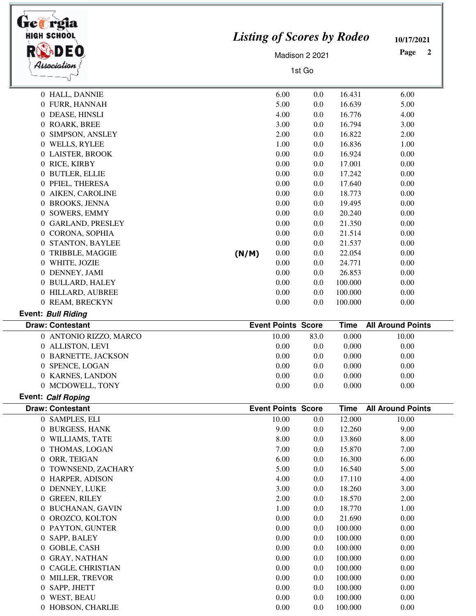| trea rgia<br><b>HIGH SCHOOL</b><br>Association |       | <b>Listing of Scores by Rodeo</b><br>Madison 2 2021<br>1st Go |      |             |                          |
|------------------------------------------------|-------|---------------------------------------------------------------|------|-------------|--------------------------|
| 0 HALL, DANNIE                                 |       | 6.00                                                          | 0.0  | 16.431      | 6.00                     |
| 0 FURR, HANNAH                                 |       | 5.00                                                          | 0.0  | 16.639      | 5.00                     |
| 0 DEASE, HINSLI                                |       | 4.00                                                          | 0.0  | 16.776      | 4.00                     |
| 0 ROARK, BREE                                  |       | 3.00                                                          | 0.0  | 16.794      | 3.00                     |
| 0 SIMPSON, ANSLEY                              |       | 2.00                                                          | 0.0  | 16.822      | 2.00                     |
| 0 WELLS, RYLEE                                 |       | 1.00                                                          | 0.0  | 16.836      | 1.00                     |
| 0 LAISTER, BROOK                               |       | 0.00                                                          | 0.0  | 16.924      | 0.00                     |
| 0 RICE, KIRBY                                  |       | 0.00                                                          | 0.0  | 17.001      | 0.00                     |
| 0 BUTLER, ELLIE                                |       | 0.00                                                          | 0.0  | 17.242      | 0.00                     |
| 0 PFIEL, THERESA                               |       | 0.00                                                          | 0.0  | 17.640      | 0.00                     |
| 0 AIKEN, CAROLINE                              |       | 0.00                                                          | 0.0  | 18.773      | 0.00                     |
| 0 BROOKS, JENNA                                |       | 0.00                                                          | 0.0  | 19.495      | 0.00                     |
| 0 SOWERS, EMMY                                 |       | 0.00                                                          | 0.0  | 20.240      | 0.00                     |
| 0 GARLAND, PRESLEY                             |       | 0.00                                                          | 0.0  | 21.350      | 0.00                     |
| 0 CORONA, SOPHIA                               |       | 0.00                                                          | 0.0  | 21.514      | 0.00                     |
| 0 STANTON, BAYLEE                              |       | 0.00                                                          | 0.0  | 21.537      | 0.00                     |
| 0 TRIBBLE, MAGGIE                              | (N/M) | 0.00                                                          | 0.0  | 22.054      | 0.00                     |
| 0 WHITE, JOZIE                                 |       | 0.00                                                          | 0.0  | 24.771      | 0.00                     |
| 0 DENNEY, JAMI                                 |       | 0.00                                                          | 0.0  | 26.853      | 0.00                     |
| 0 BULLARD, HALEY                               |       | 0.00                                                          | 0.0  | 100.000     | 0.00                     |
| 0 HILLARD, AUBREE                              |       | 0.00                                                          | 0.0  | 100.000     | 0.00                     |
| 0 REAM, BRECKYN                                |       | 0.00                                                          | 0.0  | 100.000     | 0.00                     |
| <b>Event: Bull Riding</b>                      |       |                                                               |      |             |                          |
| <b>Draw: Contestant</b>                        |       | <b>Event Points Score</b>                                     |      | <b>Time</b> | <b>All Around Points</b> |
| 0 ANTONIO RIZZO, MARCO                         |       | 10.00                                                         | 83.0 | 0.000       | 10.00                    |
| 0 ALLISTON, LEVI                               |       | 0.00                                                          | 0.0  | 0.000       | 0.00                     |
| 0 BARNETTE, JACKSON                            |       | 0.00                                                          | 0.0  | 0.000       | 0.00                     |
| 0 SPENCE, LOGAN                                |       | 0.00                                                          | 0.0  | 0.000       | 0.00                     |
| 0 KARNES, LANDON                               |       | 0.00                                                          | 0.0  | 0.000       | 0.00                     |
| 0 MCDOWELL, TONY                               |       | 0.00                                                          | 0.0  | 0.000       | 0.00                     |
| <b>Event: Calf Roping</b>                      |       |                                                               |      |             |                          |
| <b>Draw: Contestant</b>                        |       | <b>Event Points Score</b>                                     |      | Time        | <b>All Around Points</b> |
| 0 SAMPLES, ELI                                 |       | 10.00                                                         | 0.0  | 12.000      | 10.00                    |
| 0 BURGESS, HANK                                |       | 9.00                                                          | 0.0  | 12.260      | 9.00                     |
| 0 WILLIAMS, TATE                               |       | 8.00                                                          | 0.0  | 13.860      | 8.00                     |
| 0 THOMAS, LOGAN                                |       | 7.00                                                          | 0.0  | 15.870      | 7.00                     |
| 0 ORR, TEIGAN                                  |       | 6.00                                                          | 0.0  | 16.300      | 6.00                     |
| 0 TOWNSEND, ZACHARY                            |       | 5.00                                                          | 0.0  | 16.540      | 5.00                     |
| 0 HARPER, ADISON                               |       | 4.00                                                          | 0.0  | 17.110      | 4.00                     |
| 0 DENNEY, LUKE                                 |       | 3.00                                                          | 0.0  | 18.260      | 3.00                     |
| 0 GREEN, RILEY                                 |       | 2.00                                                          | 0.0  | 18.570      | 2.00                     |
| 0 BUCHANAN, GAVIN                              |       | 1.00                                                          | 0.0  | 18.770      | 1.00                     |
| 0 OROZCO, KOLTON                               |       | 0.00                                                          | 0.0  | 21.690      | 0.00                     |
| 0 PAYTON, GUNTER                               |       | 0.00                                                          | 0.0  | 100.000     | 0.00                     |
| 0 SAPP, BALEY                                  |       | 0.00                                                          | 0.0  | 100.000     | 0.00                     |
| 0 GOBLE, CASH                                  |       | 0.00                                                          | 0.0  | 100.000     | 0.00                     |
| 0 GRAY, NATHAN                                 |       | 0.00                                                          | 0.0  | 100.000     | 0.00                     |
| 0 CAGLE, CHRISTIAN                             |       | 0.00                                                          | 0.0  | 100.000     | 0.00                     |
| 0 MILLER, TREVOR                               |       | 0.00                                                          | 0.0  | 100.000     | 0.00                     |
| 0 SAPP, JHETT                                  |       | 0.00                                                          | 0.0  | 100.000     | 0.00                     |
| 0 WEST, BEAU                                   |       | 0.00                                                          | 0.0  | 100.000     | 0.00                     |
| 0 HOBSON, CHARLIE                              |       | 0.00                                                          | 0.0  | 100.000     | 0.00                     |

×.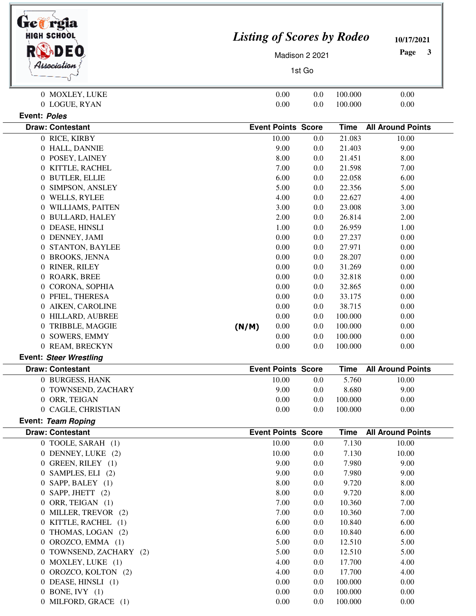| HIGH SCHOOL<br>Association | <b>Listing of Scores by Rodeo</b><br>Page<br>Madison 2 2021<br>1st Go | 10/17/2021<br>3 |  |
|----------------------------|-----------------------------------------------------------------------|-----------------|--|
| 0 MOXLEY, LUKE             | 0.00<br>100.000<br>0.0<br>0.00                                        |                 |  |
| 0 LOGUE, RYAN              | 0.00<br>0.0<br>100.000<br>0.00                                        |                 |  |
| Event: Poles               |                                                                       |                 |  |
| <b>Draw: Contestant</b>    | <b>Event Points Score</b><br><b>All Around Points</b><br><b>Time</b>  |                 |  |
| 0 RICE, KIRBY              | 21.083<br>10.00<br>0.0<br>10.00                                       |                 |  |
| 0 HALL, DANNIE             | 9.00<br>21.403<br>9.00<br>0.0                                         |                 |  |
| 0 POSEY, LAINEY            | 8.00<br>21.451<br>8.00<br>0.0                                         |                 |  |
| 0 KITTLE, RACHEL           | 7.00<br>21.598<br>0.0<br>7.00                                         |                 |  |
| 0 BUTLER, ELLIE            | 6.00<br>22.058<br>0.0<br>6.00                                         |                 |  |
| 0 SIMPSON, ANSLEY          | 5.00<br>22.356<br>0.0<br>5.00                                         |                 |  |
| 0 WELLS, RYLEE             | 4.00<br>22.627<br>0.0<br>4.00                                         |                 |  |
| 0 WILLIAMS, PAITEN         | 3.00<br>23.008<br>0.0<br>3.00                                         |                 |  |
| 0 BULLARD, HALEY           | 2.00<br>26.814<br>2.00<br>0.0                                         |                 |  |
| 0 DEASE, HINSLI            | 1.00<br>0.0<br>26.959<br>1.00                                         |                 |  |
| 0 DENNEY, JAMI             | 0.00<br>0.0<br>27.237<br>0.00                                         |                 |  |
| 0 STANTON, BAYLEE          | 0.00<br>27.971<br>0.0<br>0.00                                         |                 |  |
| 0 BROOKS, JENNA            | 0.00<br>28.207<br>0.0<br>0.00                                         |                 |  |
| 0 RINER, RILEY             | 0.00<br>31.269<br>0.0<br>0.00                                         |                 |  |
| 0 ROARK, BREE              | 0.00<br>32.818<br>0.0<br>0.00                                         |                 |  |
| 0 CORONA, SOPHIA           | 0.00<br>32.865<br>0.0<br>0.00                                         |                 |  |
| 0 PFIEL, THERESA           | 0.00<br>0.0<br>33.175<br>0.00                                         |                 |  |
| 0 AIKEN, CAROLINE          | 0.00<br>0.0<br>38.715<br>0.00                                         |                 |  |
| 0 HILLARD, AUBREE          | 0.00<br>100.000<br>0.0<br>0.00                                        |                 |  |
| 0 TRIBBLE, MAGGIE          | 0.00<br>100.000<br>(N/M)<br>0.0<br>0.00                               |                 |  |
| 0 SOWERS, EMMY             | 100.000<br>0.00<br>0.0<br>0.00                                        |                 |  |
| 0 REAM, BRECKYN            | 0.00<br>0.0<br>100.000<br>0.00                                        |                 |  |
| Event: Steer Wrestling     |                                                                       |                 |  |
| <b>Draw: Contestant</b>    | <b>Event Points Score</b><br><b>All Around Points</b><br><b>Time</b>  |                 |  |
| 0 BURGESS, HANK            | 10.00<br>5.760<br>0.0<br>10.00                                        |                 |  |
| 0 TOWNSEND, ZACHARY        | 9.00<br>0.0<br>8.680<br>9.00                                          |                 |  |
| 0 ORR, TEIGAN              | 0.00<br>100.000<br>0.0<br>0.00                                        |                 |  |
| 0 CAGLE, CHRISTIAN         | 0.00<br>0.0<br>100.000<br>0.00                                        |                 |  |
| Event: Team Roping         |                                                                       |                 |  |
| <b>Draw: Contestant</b>    | <b>Event Points Score</b><br><b>Time</b><br><b>All Around Points</b>  |                 |  |
| 0 TOOLE, SARAH (1)         | 7.130<br>10.00<br>10.00<br>0.0                                        |                 |  |
| 0 DENNEY, LUKE (2)         | 10.00<br>7.130<br>10.00<br>0.0                                        |                 |  |
| 0 GREEN, RILEY (1)         | 9.00<br>7.980<br>9.00<br>0.0                                          |                 |  |
| 0 SAMPLES, ELI (2)         | 9.00<br>7.980<br>9.00<br>0.0                                          |                 |  |
| 0 SAPP, BALEY (1)          | 8.00<br>9.720<br>0.0<br>8.00                                          |                 |  |
| $0$ SAPP, JHETT $(2)$      | 8.00<br>0.0<br>9.720<br>8.00                                          |                 |  |
| 0 ORR, TEIGAN (1)          | 7.00<br>10.360<br>7.00<br>0.0                                         |                 |  |
| 0 MILLER, TREVOR (2)       | 7.00<br>10.360<br>7.00<br>0.0                                         |                 |  |
| 0 KITTLE, RACHEL (1)       | 6.00<br>10.840<br>6.00<br>0.0                                         |                 |  |
| 0 THOMAS, LOGAN (2)        | 6.00<br>0.0<br>10.840<br>6.00                                         |                 |  |
| 0 OROZCO, EMMA (1)         | 5.00<br>12.510<br>0.0<br>5.00                                         |                 |  |
| 0 TOWNSEND, ZACHARY (2)    | 5.00<br>0.0<br>12.510<br>5.00                                         |                 |  |
| 0 MOXLEY, LUKE (1)         | 4.00<br>0.0<br>17.700<br>4.00                                         |                 |  |
| 0 OROZCO, KOLTON (2)       | 4.00<br>0.0<br>17.700<br>4.00                                         |                 |  |
| 0 DEASE, HINSLI (1)        | 0.00<br>100.000<br>0.0<br>0.00                                        |                 |  |
| 0 BONE, IVY $(1)$          | 0.00<br>100.000<br>0.0<br>0.00                                        |                 |  |
| 0 MILFORD, GRACE (1)       | 0.00<br>100.000<br>0.0<br>0.00                                        |                 |  |
|                            |                                                                       |                 |  |